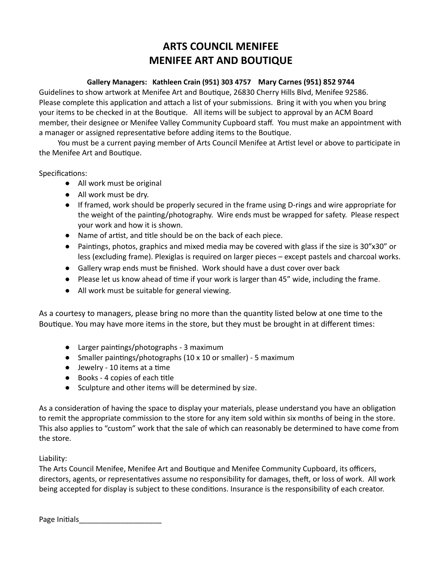## **ARTS COUNCIL MENIFEE MENIFEE ART AND BOUTIQUE**

### **Gallery Managers: Kathleen Crain (951) 303 4757 Mary Carnes (951) 852 9744**

Guidelines to show artwork at Menifee Art and Boutique, 26830 Cherry Hills Blvd, Menifee 92586. Please complete this application and attach a list of your submissions. Bring it with you when you bring your items to be checked in at the Boutique. All items will be subject to approval by an ACM Board member, their designee or Menifee Valley Community Cupboard staff. You must make an appointment with a manager or assigned representative before adding items to the Boutique.

You must be a current paying member of Arts Council Menifee at Artist level or above to participate in the Menifee Art and Boutique.

Specifications:

- All work must be original
- All work must be dry.
- If framed, work should be properly secured in the frame using D-rings and wire appropriate for the weight of the painting/photography. Wire ends must be wrapped for safety. Please respect your work and how it is shown.
- Name of artist, and title should be on the back of each piece.
- Paintings, photos, graphics and mixed media may be covered with glass if the size is 30"x30" or less (excluding frame). Plexiglas is required on larger pieces – except pastels and charcoal works.
- Gallery wrap ends must be finished. Work should have a dust cover over back
- Please let us know ahead of time if your work is larger than 45" wide, including the frame.
- All work must be suitable for general viewing.

As a courtesy to managers, please bring no more than the quantity listed below at one time to the Boutique. You may have more items in the store, but they must be brought in at different times:

- Larger paintings/photographs 3 maximum
- Smaller paintings/photographs  $(10 \times 10)$  or smaller) 5 maximum
- $\bullet$  Jewelry 10 items at a time
- $\bullet$  Books 4 copies of each title
- Sculpture and other items will be determined by size.

As a consideration of having the space to display your materials, please understand you have an obligation to remit the appropriate commission to the store for any item sold within six months of being in the store. This also applies to "custom" work that the sale of which can reasonably be determined to have come from the store.

Liability:

The Arts Council Menifee, Menifee Art and Boutique and Menifee Community Cupboard, its officers, directors, agents, or representatives assume no responsibility for damages, theft, or loss of work. All work being accepted for display is subject to these conditions. Insurance is the responsibility of each creator.

Page Initials\_\_\_\_\_\_\_\_\_\_\_\_\_\_\_\_\_\_\_\_\_\_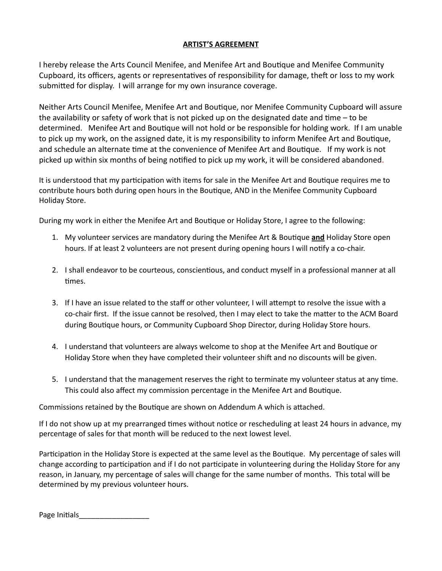### **ARTIST'S AGREEMENT**

I hereby release the Arts Council Menifee, and Menifee Art and Boutique and Menifee Community Cupboard, its officers, agents or representatives of responsibility for damage, theft or loss to my work submitted for display. I will arrange for my own insurance coverage.

Neither Arts Council Menifee, Menifee Art and Boutique, nor Menifee Community Cupboard will assure the availability or safety of work that is not picked up on the designated date and time  $-$  to be determined. Menifee Art and Boutique will not hold or be responsible for holding work. If I am unable to pick up my work, on the assigned date, it is my responsibility to inform Menifee Art and Boutique, and schedule an alternate time at the convenience of Menifee Art and Boutique. If my work is not picked up within six months of being nofied to pick up my work, it will be considered abandoned.

It is understood that my participation with items for sale in the Menifee Art and Boutique requires me to contribute hours both during open hours in the Boutique, AND in the Menifee Community Cupboard Holiday Store.

During my work in either the Menifee Art and Boutique or Holiday Store, I agree to the following:

- 1. My volunteer services are mandatory during the Menifee Art & Boutique and Holiday Store open hours. If at least 2 volunteers are not present during opening hours I will notify a co-chair.
- 2. I shall endeavor to be courteous, conscientious, and conduct myself in a professional manner at all times.
- 3. If I have an issue related to the staff or other volunteer, I will attempt to resolve the issue with a co-chair first. If the issue cannot be resolved, then I may elect to take the matter to the ACM Board during Boutique hours, or Community Cupboard Shop Director, during Holiday Store hours.
- 4. I understand that volunteers are always welcome to shop at the Menifee Art and Boutique or Holiday Store when they have completed their volunteer shift and no discounts will be given.
- 5. I understand that the management reserves the right to terminate my volunteer status at any time. This could also affect my commission percentage in the Menifee Art and Boutique.

Commissions retained by the Boutique are shown on Addendum A which is attached.

If I do not show up at my prearranged times without notice or rescheduling at least 24 hours in advance, my percentage of sales for that month will be reduced to the next lowest level.

Participation in the Holiday Store is expected at the same level as the Boutique. My percentage of sales will change according to participation and if I do not participate in volunteering during the Holiday Store for any reason, in January, my percentage of sales will change for the same number of months. This total will be determined by my previous volunteer hours.

Page Initials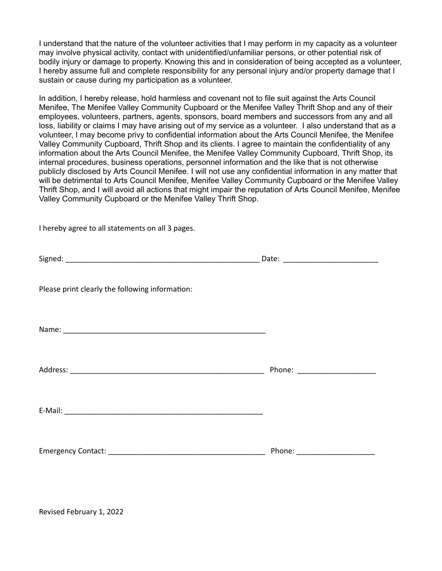I understand that the nature of the volunteer activities that I may perform in my capacity as a volunteer may involve physical activity, contact with unidentified/unfamiliar persons, or other potential risk of bodily injury or damage to property. Knowing this and in consideration of being accepted as a volunteer, I hereby assume full and complete responsibility for any personal injury and/or property damage that I sustain or cause during my participation as a volunteer.

In addition, I hereby release, hold harmless and covenant not to file suit against the Arts Council Menifee, The Menifee Valley Community Cupboard or the Menifee Valley Thrift Shop and any of their employees, volunteers, partners, agents, sponsors, board members and successors from any and all loss, liability or claims I may have arising out of my service as a volunteer. I also understand that as a volunteer, I may become privy to confidential information about the Arts Council Menifee, the Menifee Valley Community Cupboard, Thrift Shop and its clients. I agree to maintain the confidentiality of any information about the Arts Council Menifee, the Menifee Valley Community Cupboard, Thrift Shop, its internal procedures, business operations, personnel information and the like that is not otherwise publicly disclosed by Arts Council Menifee. I will not use any confidential information in any matter that will be detrimental to Arts Council Menifee, Menifee Valley Community Cupboard or the Menifee Valley Thrift Shop, and I will avoid all actions that might impair the reputation of Arts Council Menifee, Menifee Valley Community Cupboard or the Menifee Valley Thrift Shop.

I hereby agree to all statements on all 3 pages.

| Please print clearly the following information: |                                 |
|-------------------------------------------------|---------------------------------|
|                                                 |                                 |
|                                                 | Phone: ________________________ |
|                                                 |                                 |
|                                                 |                                 |

Revised February 1, 2022